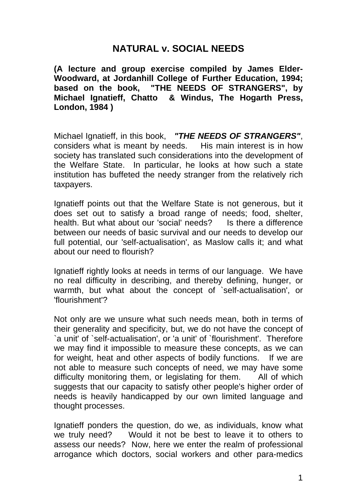# **NATURAL v. SOCIAL NEEDS**

**(A lecture and group exercise compiled by James Elder-Woodward, at Jordanhill College of Further Education, 1994; based on the book, "THE NEEDS OF STRANGERS", by Michael Ignatieff, Chatto & Windus, The Hogarth Press, London, 1984 )** 

Michael Ignatieff, in this book, *"THE NEEDS OF STRANGERS"*, considers what is meant by needs. His main interest is in how society has translated such considerations into the development of the Welfare State. In particular, he looks at how such a state institution has buffeted the needy stranger from the relatively rich taxpayers.

Ignatieff points out that the Welfare State is not generous, but it does set out to satisfy a broad range of needs; food, shelter, health. But what about our 'social' needs? Is there a difference between our needs of basic survival and our needs to develop our full potential, our 'self-actualisation', as Maslow calls it; and what about our need to flourish?

Ignatieff rightly looks at needs in terms of our language. We have no real difficulty in describing, and thereby defining, hunger, or warmth, but what about the concept of `self-actualisation', or 'flourishment'?

Not only are we unsure what such needs mean, both in terms of their generality and specificity, but, we do not have the concept of `a unit' of `self-actualisation', or 'a unit' of `flourishment'. Therefore we may find it impossible to measure these concepts, as we can for weight, heat and other aspects of bodily functions. If we are not able to measure such concepts of need, we may have some difficulty monitoring them, or legislating for them. All of which suggests that our capacity to satisfy other people's higher order of needs is heavily handicapped by our own limited language and thought processes.

Ignatieff ponders the question, do we, as individuals, know what we truly need? Would it not be best to leave it to others to assess our needs? Now, here we enter the realm of professional arrogance which doctors, social workers and other para-medics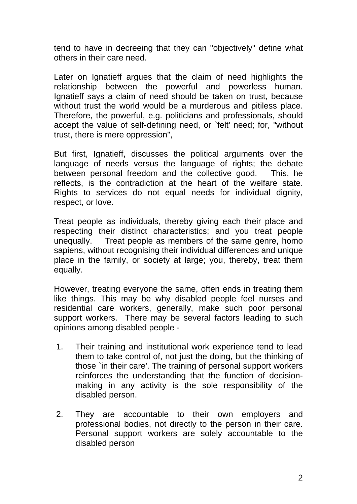tend to have in decreeing that they can "objectively" define what others in their care need.

Later on Ignatieff argues that the claim of need highlights the relationship between the powerful and powerless human. Ignatieff says a claim of need should be taken on trust, because without trust the world would be a murderous and pitiless place. Therefore, the powerful, e.g. politicians and professionals, should accept the value of self-defining need, or `felt' need; for, "without trust, there is mere oppression",

But first, Ignatieff, discusses the political arguments over the language of needs versus the language of rights; the debate between personal freedom and the collective good. This, he reflects, is the contradiction at the heart of the welfare state. Rights to services do not equal needs for individual dignity, respect, or love.

Treat people as individuals, thereby giving each their place and respecting their distinct characteristics; and you treat people unequally. Treat people as members of the same genre, homo sapiens, without recognising their individual differences and unique place in the family, or society at large; you, thereby, treat them equally.

However, treating everyone the same, often ends in treating them like things. This may be why disabled people feel nurses and residential care workers, generally, make such poor personal support workers. There may be several factors leading to such opinions among disabled people -

- 1. Their training and institutional work experience tend to lead them to take control of, not just the doing, but the thinking of those `in their care'. The training of personal support workers reinforces the understanding that the function of decisionmaking in any activity is the sole responsibility of the disabled person.
- 2. They are accountable to their own employers and professional bodies, not directly to the person in their care. Personal support workers are solely accountable to the disabled person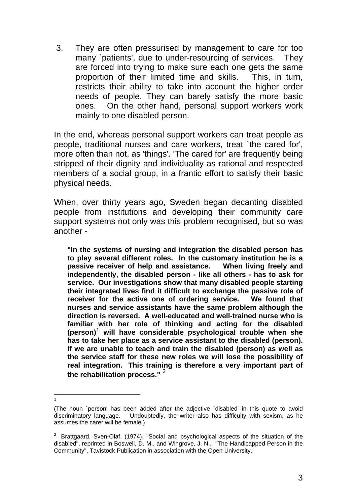3. They are often pressurised by management to care for too many `patients', due to under-resourcing of services. They are forced into trying to make sure each one gets the same proportion of their limited time and skills. This, in turn, restricts their ability to take into account the higher order needs of people. They can barely satisfy the more basic ones. On the other hand, personal support workers work mainly to one disabled person.

In the end, whereas personal support workers can treat people as people, traditional nurses and care workers, treat `the cared for', more often than not, as 'things'. 'The cared for' are frequently being stripped of their dignity and individuality as rational and respected members of a social group, in a frantic effort to satisfy their basic physical needs.

When, over thirty years ago, Sweden began decanting disabled people from institutions and developing their community care support systems not only was this problem recognised, but so was another -

**"In the systems of nursing and integration the disabled person has to play several different roles. In the customary institution he is a passive receiver of help and assistance. When living freely and independently, the disabled person - like all others - has to ask for service. Our investigations show that many disabled people starting their integrated lives find it difficult to exchange the passive role of receiver for the active one of ordering service. We found that nurses and service assistants have the same problem although the direction is reversed. A well-educated and well-trained nurse who is familiar with her role of thinking and acting for the disabled (person)[1](#page-2-0) will have considerable psychological trouble when she has to take her place as a service assistant to the disabled (person). If we are unable to teach and train the disabled (person) as well as the service staff for these new roles we will lose the possibility of real integration. This training is therefore a very important part of the rehabilitation process."** [2](#page-2-1)

-1

<span id="page-2-0"></span><sup>(</sup>The noun `person' has been added after the adjective `disabled' in this quote to avoid discriminatory language. Undoubtedly, the writer also has difficulty with sexism, as he assumes the carer will be female.)

<span id="page-2-1"></span> $2$  Brattgaard, Sven-Olaf, (1974), "Social and psychological aspects of the situation of the disabled", reprinted in Boswell, D. M., and Wingrove, J. N., "The Handicapped Person in the Community", Tavistock Publication in association with the Open University.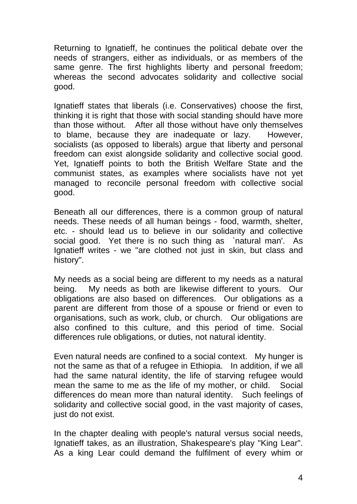Returning to Ignatieff, he continues the political debate over the needs of strangers, either as individuals, or as members of the same genre. The first highlights liberty and personal freedom; whereas the second advocates solidarity and collective social good.

Ignatieff states that liberals (i.e. Conservatives) choose the first, thinking it is right that those with social standing should have more than those without. After all those without have only themselves to blame, because they are inadequate or lazy. However, socialists (as opposed to liberals) argue that liberty and personal freedom can exist alongside solidarity and collective social good. Yet, Ignatieff points to both the British Welfare State and the communist states, as examples where socialists have not yet managed to reconcile personal freedom with collective social good.

Beneath all our differences, there is a common group of natural needs. These needs of all human beings - food, warmth, shelter, etc. - should lead us to believe in our solidarity and collective social good. Yet there is no such thing as `natural man'. As Ignatieff writes - we "are clothed not just in skin, but class and history".

My needs as a social being are different to my needs as a natural being. My needs as both are likewise different to yours. Our obligations are also based on differences. Our obligations as a parent are different from those of a spouse or friend or even to organisations, such as work, club, or church. Our obligations are also confined to this culture, and this period of time. Social differences rule obligations, or duties, not natural identity.

Even natural needs are confined to a social context. My hunger is not the same as that of a refugee in Ethiopia. In addition, if we all had the same natural identity, the life of starving refugee would mean the same to me as the life of my mother, or child. Social differences do mean more than natural identity. Such feelings of solidarity and collective social good, in the vast majority of cases, just do not exist.

In the chapter dealing with people's natural versus social needs, Ignatieff takes, as an illustration, Shakespeare's play "King Lear". As a king Lear could demand the fulfilment of every whim or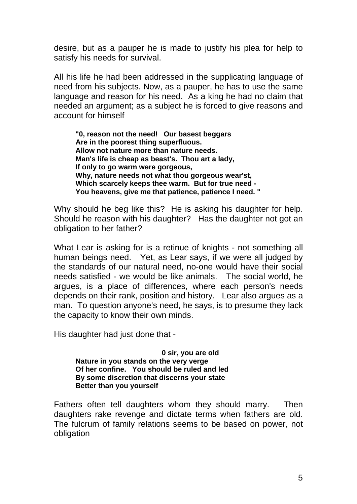desire, but as a pauper he is made to justify his plea for help to satisfy his needs for survival.

All his life he had been addressed in the supplicating language of need from his subjects. Now, as a pauper, he has to use the same language and reason for his need. As a king he had no claim that needed an argument; as a subject he is forced to give reasons and account for himself

**"0, reason not the need! Our basest beggars Are in the poorest thing superfluous. Allow not nature more than nature needs. Man's life is cheap as beast's. Thou art a lady, If only to go warm were gorgeous, Why, nature needs not what thou gorgeous wear'st, Which scarcely keeps thee warm. But for true need - You heavens, give me that patience, patience I need. "** 

Why should he beg like this? He is asking his daughter for help. Should he reason with his daughter? Has the daughter not got an obligation to her father?

What Lear is asking for is a retinue of knights - not something all human beings need. Yet, as Lear says, if we were all judged by the standards of our natural need, no-one would have their social needs satisfied - we would be like animals. The social world, he argues, is a place of differences, where each person's needs depends on their rank, position and history. Lear also argues as a man. To question anyone's need, he says, is to presume they lack the capacity to know their own minds.

His daughter had just done that -

**0 sir, you are old Nature in you stands on the very verge Of her confine. You should be ruled and led By some discretion that discerns your state Better than you yourself** 

Fathers often tell daughters whom they should marry. Then daughters rake revenge and dictate terms when fathers are old. The fulcrum of family relations seems to be based on power, not obligation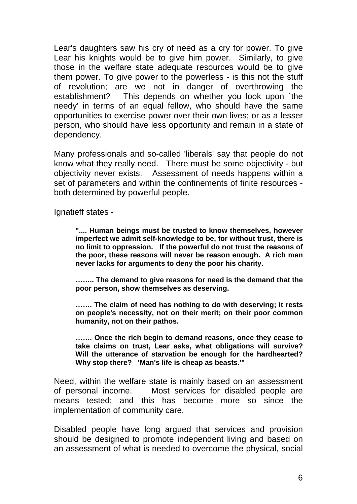Lear's daughters saw his cry of need as a cry for power. To give Lear his knights would be to give him power. Similarly, to give those in the welfare state adequate resources would be to give them power. To give power to the powerless - is this not the stuff of revolution; are we not in danger of overthrowing the establishment? This depends on whether you look upon `the needy' in terms of an equal fellow, who should have the same opportunities to exercise power over their own lives; or as a lesser person, who should have less opportunity and remain in a state of dependency.

Many professionals and so-called 'liberals' say that people do not know what they really need. There must be some objectivity - but objectivity never exists. Assessment of needs happens within a set of parameters and within the confinements of finite resources both determined by powerful people.

Ignatieff states -

**".... Human beings must be trusted to know themselves, however imperfect we admit self-knowledge to be, for without trust, there is no limit to oppression. If the powerful do not trust the reasons of the poor, these reasons will never be reason enough. A rich man never lacks for arguments to deny the poor his charity.** 

**…….. The demand to give reasons for need is the demand that the poor person, show themselves as deserving.** 

**……. The claim of need has nothing to do with deserving; it rests on people's necessity, not on their merit; on their poor common humanity, not on their pathos.** 

**……. Once the rich begin to demand reasons, once they cease to take claims on trust, Lear asks, what obligations will survive? Will the utterance of starvation be enough for the hardhearted? Why stop there? 'Man's life is cheap as beasts.'"** 

Need, within the welfare state is mainly based on an assessment of personal income. Most services for disabled people are means tested; and this has become more so since the implementation of community care.

Disabled people have long argued that services and provision should be designed to promote independent living and based on an assessment of what is needed to overcome the physical, social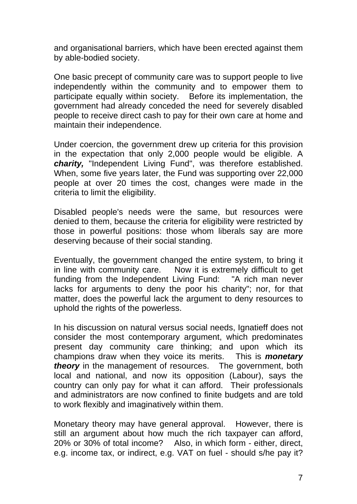and organisational barriers, which have been erected against them by able-bodied society.

One basic precept of community care was to support people to live independently within the community and to empower them to participate equally within society. Before its implementation, the government had already conceded the need for severely disabled people to receive direct cash to pay for their own care at home and maintain their independence.

Under coercion, the government drew up criteria for this provision in the expectation that only 2,000 people would be eligible. A *charity,* "Independent Living Fund", was therefore established. When, some five years later, the Fund was supporting over 22,000 people at over 20 times the cost, changes were made in the criteria to limit the eligibility.

Disabled people's needs were the same, but resources were denied to them, because the criteria for eligibility were restricted by those in powerful positions: those whom liberals say are more deserving because of their social standing.

Eventually, the government changed the entire system, to bring it in line with community care. Now it is extremely difficult to get funding from the Independent Living Fund: "A rich man never lacks for arguments to deny the poor his charity"; nor, for that matter, does the powerful lack the argument to deny resources to uphold the rights of the powerless.

In his discussion on natural versus social needs, Ignatieff does not consider the most contemporary argument, which predominates present day community care thinking; and upon which its champions draw when they voice its merits. This is *monetary theory* in the management of resources. The government, both local and national, and now its opposition (Labour), says the country can only pay for what it can afford. Their professionals and administrators are now confined to finite budgets and are told to work flexibly and imaginatively within them.

Monetary theory may have general approval. However, there is still an argument about how much the rich taxpayer can afford, 20% or 30% of total income? Also, in which form - either, direct, e.g. income tax, or indirect, e.g. VAT on fuel - should s/he pay it?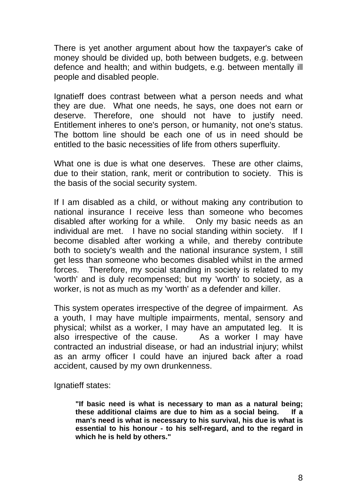There is yet another argument about how the taxpayer's cake of money should be divided up, both between budgets, e.g. between defence and health; and within budgets, e.g. between mentally ill people and disabled people.

Ignatieff does contrast between what a person needs and what they are due. What one needs, he says, one does not earn or deserve. Therefore, one should not have to justify need. Entitlement inheres to one's person, or humanity, not one's status. The bottom line should be each one of us in need should be entitled to the basic necessities of life from others superfluity.

What one is due is what one deserves. These are other claims, due to their station, rank, merit or contribution to society. This is the basis of the social security system.

If I am disabled as a child, or without making any contribution to national insurance I receive less than someone who becomes disabled after working for a while. Only my basic needs as an individual are met. I have no social standing within society. If I become disabled after working a while, and thereby contribute both to society's wealth and the national insurance system, I still get less than someone who becomes disabled whilst in the armed forces. Therefore, my social standing in society is related to my 'worth' and is duly recompensed; but my 'worth' to society, as a worker, is not as much as my 'worth' as a defender and killer.

This system operates irrespective of the degree of impairment. As a youth, I may have multiple impairments, mental, sensory and physical; whilst as a worker, I may have an amputated leg. It is also irrespective of the cause. As a worker I may have contracted an industrial disease, or had an industrial injury; whilst as an army officer I could have an injured back after a road accident, caused by my own drunkenness.

Ignatieff states:

**"If basic need is what is necessary to man as a natural being; these additional claims are due to him as a social being. If a man's need is what is necessary to his survival, his due is what is essential to his honour - to his self-regard, and to the regard in which he is held by others."**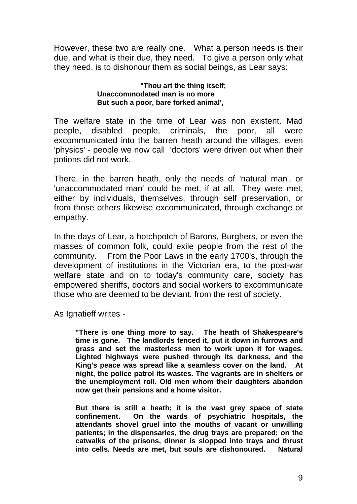However, these two are really one. What a person needs is their due, and what is their due, they need. To give a person only what they need, is to dishonour them as social beings, as Lear says:

#### **"Thou art the thing itself; Unaccommodated man is no more But such a poor, bare forked animal',**

The welfare state in the time of Lear was non existent. Mad people, disabled people, criminals, the poor, all were excommunicated into the barren heath around the villages, even 'physics' - people we now call 'doctors' were driven out when their potions did not work.

There, in the barren heath, only the needs of 'natural man', or 'unaccommodated man' could be met, if at all. They were met, either by individuals, themselves, through self preservation, or from those others likewise excommunicated, through exchange or empathy.

In the days of Lear, a hotchpotch of Barons, Burghers, or even the masses of common folk, could exile people from the rest of the community. From the Poor Laws in the early 1700's, through the development of institutions in the Victorian era, to the post-war welfare state and on to today's community care, society has empowered sheriffs, doctors and social workers to excommunicate those who are deemed to be deviant, from the rest of society.

As Ignatieff writes -

**"There is one thing more to say. The heath of Shakespeare's time is gone. The landlords fenced it, put it down in furrows and grass and set the masterless men to work upon it for wages. Lighted highways were pushed through its darkness, and the King's peace was spread like a seamless cover on the land. At night, the police patrol its wastes. The vagrants are in shelters or the unemployment roll. Old men whom their daughters abandon now get their pensions and a home visitor.** 

**But there is still a heath; it is the vast grey space of state confinement. On the wards of psychiatric hospitals, the attendants shovel gruel into the mouths of vacant or unwilling patients; in the dispensaries, the drug trays are prepared; on the catwalks of the prisons, dinner is slopped into trays and thrust into cells. Needs are met, but souls are dishonoured. Natural**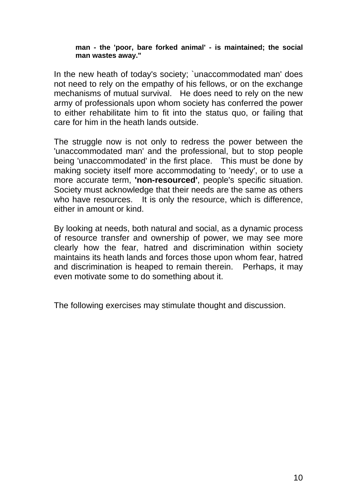#### **man - the 'poor, bare forked animal' - is maintained; the social man wastes away."**

In the new heath of today's society; `unaccommodated man' does not need to rely on the empathy of his fellows, or on the exchange mechanisms of mutual survival. He does need to rely on the new army of professionals upon whom society has conferred the power to either rehabilitate him to fit into the status quo, or failing that care for him in the heath lands outside.

The struggle now is not only to redress the power between the 'unaccommodated man' and the professional, but to stop people being 'unaccommodated' in the first place. This must be done by making society itself more accommodating to 'needy', or to use a more accurate term, **'non-resourced'**, people's specific situation. Society must acknowledge that their needs are the same as others who have resources. It is only the resource, which is difference, either in amount or kind.

By looking at needs, both natural and social, as a dynamic process of resource transfer and ownership of power, we may see more clearly how the fear, hatred and discrimination within society maintains its heath lands and forces those upon whom fear, hatred and discrimination is heaped to remain therein. Perhaps, it may even motivate some to do something about it.

The following exercises may stimulate thought and discussion.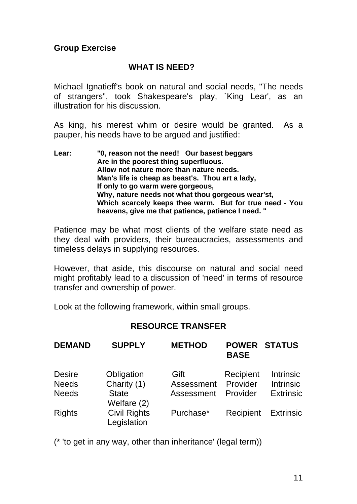### **Group Exercise**

#### **WHAT IS NEED?**

Michael Ignatieff's book on natural and social needs, "The needs of strangers", took Shakespeare's play, `King Lear', as an illustration for his discussion.

As king, his merest whim or desire would be granted. As a pauper, his needs have to be argued and justified:

**Lear: "0, reason not the need! Our basest beggars Are in the poorest thing superfluous. Allow not nature more than nature needs. Man's life is cheap as beast's. Thou art a lady, If only to go warm were gorgeous, Why, nature needs not what thou gorgeous wear'st, Which scarcely keeps thee warm. But for true need - You heavens, give me that patience, patience I need. "** 

Patience may be what most clients of the welfare state need as they deal with providers, their bureaucracies, assessments and timeless delays in supplying resources.

However, that aside, this discourse on natural and social need might profitably lead to a discussion of 'need' in terms of resource transfer and ownership of power.

Look at the following framework, within small groups.

### **RESOURCE TRANSFER**

| <b>DEMAND</b> | <b>SUPPLY</b>                      | <b>METHOD</b> | <b>POWER STATUS</b><br><b>BASE</b> |                  |
|---------------|------------------------------------|---------------|------------------------------------|------------------|
| <b>Desire</b> | Obligation                         | Gift          | Recipient                          | <b>Intrinsic</b> |
| <b>Needs</b>  | Charity (1)                        | Assessment    | Provider                           | <b>Intrinsic</b> |
| <b>Needs</b>  | <b>State</b><br>Welfare (2)        | Assessment    | Provider                           | <b>Extrinsic</b> |
| <b>Rights</b> | <b>Civil Rights</b><br>Legislation | Purchase*     | Recipient                          | <b>Extrinsic</b> |

(\* 'to get in any way, other than inheritance' (legal term))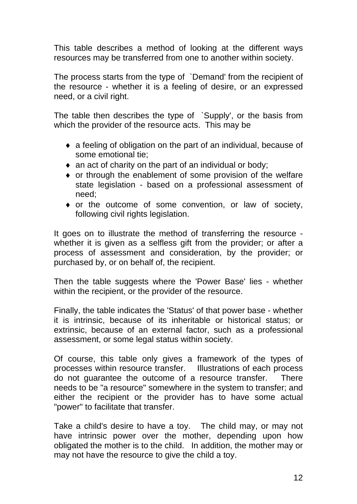This table describes a method of looking at the different ways resources may be transferred from one to another within society.

The process starts from the type of `Demand' from the recipient of the resource - whether it is a feeling of desire, or an expressed need, or a civil right.

The table then describes the type of `Supply', or the basis from which the provider of the resource acts. This may be

- ♦ a feeling of obligation on the part of an individual, because of some emotional tie;
- ♦ an act of charity on the part of an individual or body;
- ♦ or through the enablement of some provision of the welfare state legislation - based on a professional assessment of need;
- ♦ or the outcome of some convention, or law of society, following civil rights legislation.

It goes on to illustrate the method of transferring the resource whether it is given as a selfless gift from the provider; or after a process of assessment and consideration, by the provider; or purchased by, or on behalf of, the recipient.

Then the table suggests where the 'Power Base' lies - whether within the recipient, or the provider of the resource.

Finally, the table indicates the 'Status' of that power base - whether it is intrinsic, because of its inheritable or historical status; or extrinsic, because of an external factor, such as a professional assessment, or some legal status within society.

Of course, this table only gives a framework of the types of processes within resource transfer. Illustrations of each process do not guarantee the outcome of a resource transfer. There needs to be "a resource" somewhere in the system to transfer; and either the recipient or the provider has to have some actual "power" to facilitate that transfer.

Take a child's desire to have a toy. The child may, or may not have intrinsic power over the mother, depending upon how obligated the mother is to the child. In addition, the mother may or may not have the resource to give the child a toy.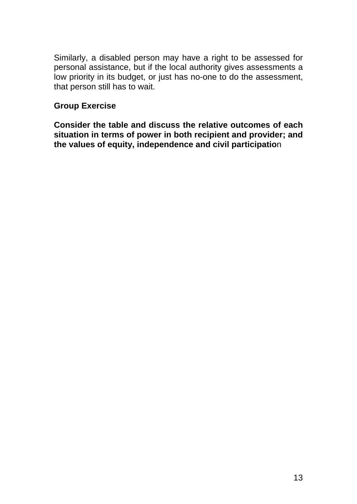Similarly, a disabled person may have a right to be assessed for personal assistance, but if the local authority gives assessments a low priority in its budget, or just has no-one to do the assessment, that person still has to wait.

#### **Group Exercise**

**Consider the table and discuss the relative outcomes of each situation in terms of power in both recipient and provider; and the values of equity, independence and civil participatio**n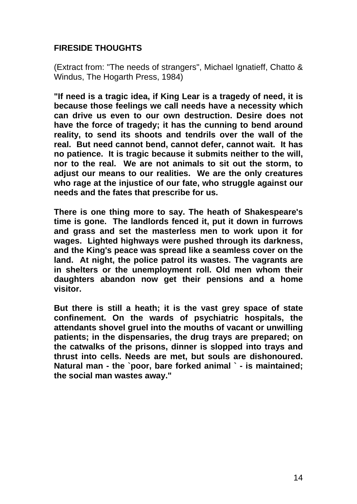## **FIRESIDE THOUGHTS**

(Extract from: "The needs of strangers", Michael Ignatieff, Chatto & Windus, The Hogarth Press, 1984)

**"If need is a tragic idea, if King Lear is a tragedy of need, it is because those feelings we call needs have a necessity which can drive us even to our own destruction. Desire does not have the force of tragedy; it has the cunning to bend around reality, to send its shoots and tendrils over the wall of the real. But need cannot bend, cannot defer, cannot wait. It has no patience. It is tragic because it submits neither to the will, nor to the real. We are not animals to sit out the storm, to adjust our means to our realities. We are the only creatures who rage at the injustice of our fate, who struggle against our needs and the fates that prescribe for us.** 

**There is one thing more to say. The heath of Shakespeare's time is gone. The landlords fenced it, put it down in furrows and grass and set the masterless men to work upon it for wages. Lighted highways were pushed through its darkness, and the King's peace was spread like a seamless cover on the land. At night, the police patrol its wastes. The vagrants are in shelters or the unemployment roll. Old men whom their daughters abandon now get their pensions and a home visitor.** 

**But there is still a heath; it is the vast grey space of state confinement. On the wards of psychiatric hospitals, the attendants shovel gruel into the mouths of vacant or unwilling patients; in the dispensaries, the drug trays are prepared; on the catwalks of the prisons, dinner is slopped into trays and thrust into cells. Needs are met, but souls are dishonoured. Natural man - the `poor, bare forked animal ` - is maintained; the social man wastes away."**